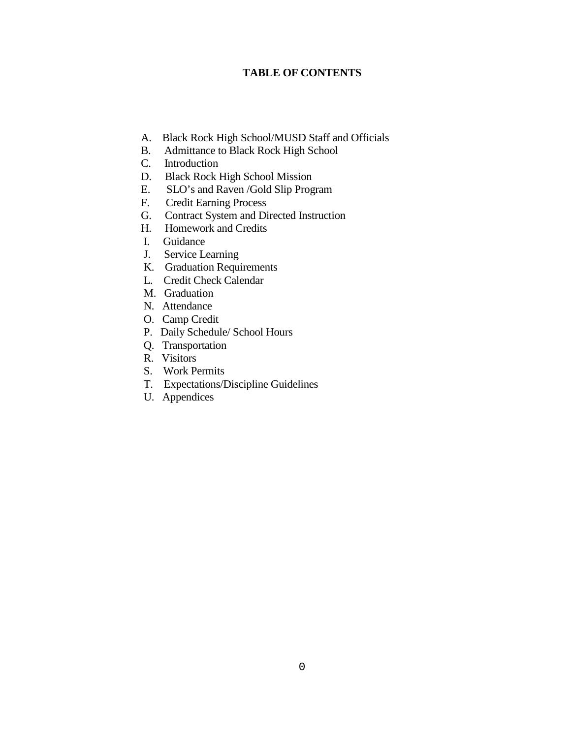## **TABLE OF CONTENTS**

- A. Black Rock High School/MUSD Staff and Officials
- B. Admittance to Black Rock High School
- C. Introduction
- D. Black Rock High School Mission
- E. SLO's and Raven /Gold Slip Program
- F. Credit Earning Process
- G. Contract System and Directed Instruction
- H. Homework and Credits
- I. Guidance
- J. Service Learning
- K. Graduation Requirements
- L. Credit Check Calendar
- M. Graduation
- N. Attendance
- O. Camp Credit
- P. Daily Schedule/ School Hours
- Q. Transportation
- R. Visitors
- S. Work Permits
- T. Expectations/Discipline Guidelines
- U. Appendices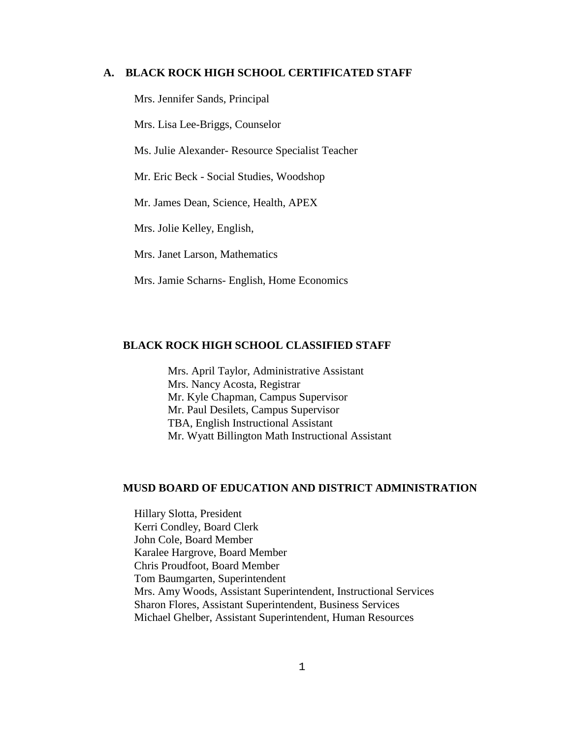#### **A. BLACK ROCK HIGH SCHOOL CERTIFICATED STAFF**

Mrs. Jennifer Sands, Principal

Mrs. Lisa Lee-Briggs, Counselor

Ms. Julie Alexander- Resource Specialist Teacher

Mr. Eric Beck - Social Studies, Woodshop

Mr. James Dean, Science, Health, APEX

Mrs. Jolie Kelley, English,

Mrs. Janet Larson, Mathematics

Mrs. Jamie Scharns- English, Home Economics

## **BLACK ROCK HIGH SCHOOL CLASSIFIED STAFF**

 Mrs. April Taylor, Administrative Assistant Mrs. Nancy Acosta, Registrar Mr. Kyle Chapman, Campus Supervisor Mr. Paul Desilets, Campus Supervisor TBA, English Instructional Assistant Mr. Wyatt Billington Math Instructional Assistant

## **MUSD BOARD OF EDUCATION AND DISTRICT ADMINISTRATION**

Hillary Slotta, President Kerri Condley, Board Clerk John Cole, Board Member Karalee Hargrove, Board Member Chris Proudfoot, Board Member Tom Baumgarten, Superintendent Mrs. Amy Woods, Assistant Superintendent, Instructional Services Sharon Flores, Assistant Superintendent, Business Services Michael Ghelber, Assistant Superintendent, Human Resources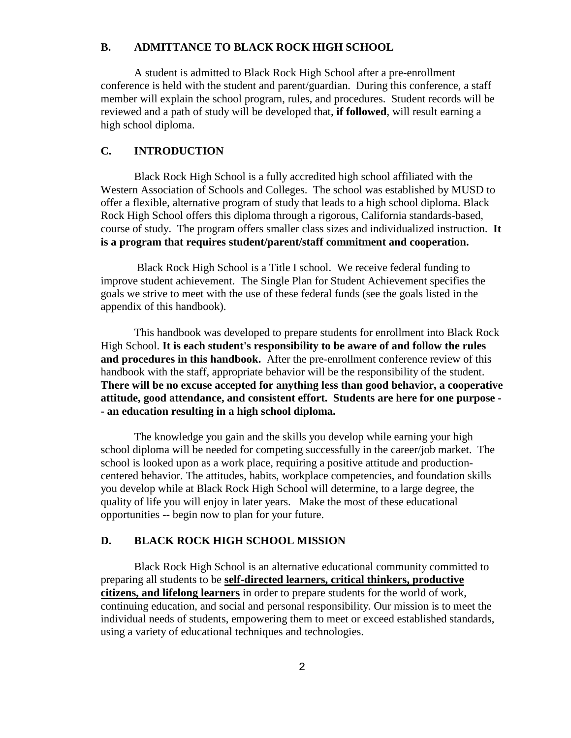#### **B. ADMITTANCE TO BLACK ROCK HIGH SCHOOL**

 A student is admitted to Black Rock High School after a pre-enrollment conference is held with the student and parent/guardian. During this conference, a staff member will explain the school program, rules, and procedures. Student records will be reviewed and a path of study will be developed that, **if followed**, will result earning a high school diploma.

#### **C. INTRODUCTION**

Black Rock High School is a fully accredited high school affiliated with the Western Association of Schools and Colleges. The school was established by MUSD to offer a flexible, alternative program of study that leads to a high school diploma. Black Rock High School offers this diploma through a rigorous, California standards-based, course of study. The program offers smaller class sizes and individualized instruction. **It is a program that requires student/parent/staff commitment and cooperation.**

Black Rock High School is a Title I school. We receive federal funding to improve student achievement. The Single Plan for Student Achievement specifies the goals we strive to meet with the use of these federal funds (see the goals listed in the appendix of this handbook).

This handbook was developed to prepare students for enrollment into Black Rock High School. **It is each student's responsibility to be aware of and follow the rules and procedures in this handbook.** After the pre-enrollment conference review of this handbook with the staff, appropriate behavior will be the responsibility of the student. **There will be no excuse accepted for anything less than good behavior, a cooperative attitude, good attendance, and consistent effort. Students are here for one purpose - - an education resulting in a high school diploma.**

The knowledge you gain and the skills you develop while earning your high school diploma will be needed for competing successfully in the career/job market. The school is looked upon as a work place, requiring a positive attitude and productioncentered behavior. The attitudes, habits, workplace competencies, and foundation skills you develop while at Black Rock High School will determine, to a large degree, the quality of life you will enjoy in later years. Make the most of these educational opportunities -- begin now to plan for your future.

#### **D. BLACK ROCK HIGH SCHOOL MISSION**

Black Rock High School is an alternative educational community committed to preparing all students to be **self-directed learners, critical thinkers, productive citizens, and lifelong learners** in order to prepare students for the world of work, continuing education, and social and personal responsibility. Our mission is to meet the individual needs of students, empowering them to meet or exceed established standards, using a variety of educational techniques and technologies.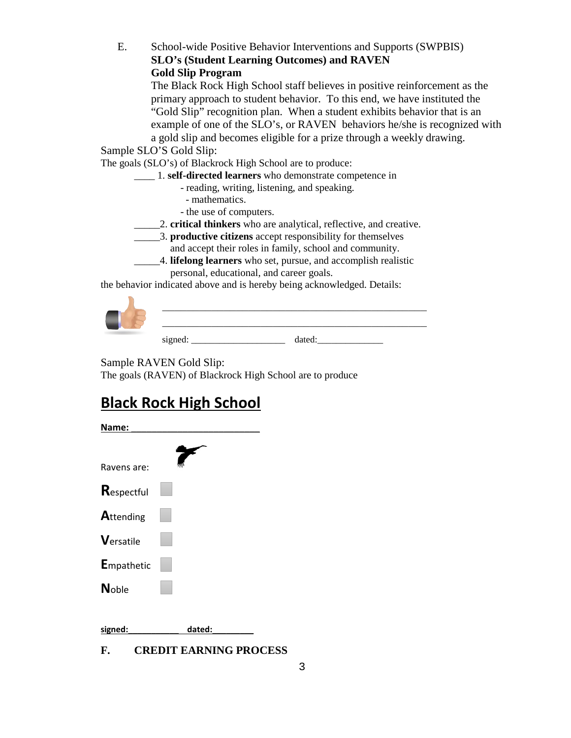E. School-wide Positive Behavior Interventions and Supports (SWPBIS) **SLO's (Student Learning Outcomes) and RAVEN Gold Slip Program**

The Black Rock High School staff believes in positive reinforcement as the primary approach to student behavior. To this end, we have instituted the "Gold Slip" recognition plan. When a student exhibits behavior that is an example of one of the SLO's, or RAVEN behaviors he/she is recognized with a gold slip and becomes eligible for a prize through a weekly drawing.

Sample SLO'S Gold Slip:

The goals (SLO's) of Blackrock High School are to produce:

- \_\_\_\_ 1. **self-directed learners** who demonstrate competence in
	- reading, writing, listening, and speaking.
		- mathematics.
	- the use of computers.
- \_\_\_\_\_2. **critical thinkers** who are analytical, reflective, and creative.
- \_\_\_\_\_3. **productive citizens** accept responsibility for themselves
	- and accept their roles in family, school and community.
- \_\_\_\_\_4. **lifelong learners** who set, pursue, and accomplish realistic personal, educational, and career goals.

the behavior indicated above and is hereby being acknowledged. Details:



|  | . |
|--|---|
|--|---|

Sample RAVEN Gold Slip:

The goals (RAVEN) of Blackrock High School are to produce

# **Black Rock High School**

| Name:        |        |
|--------------|--------|
|              |        |
| Ravens are:  |        |
| Respectful   |        |
| Attending    |        |
| Versatile    |        |
| Empathetic   |        |
| <b>Noble</b> |        |
|              |        |
| signed:      | dated: |

**F. CREDIT EARNING PROCESS**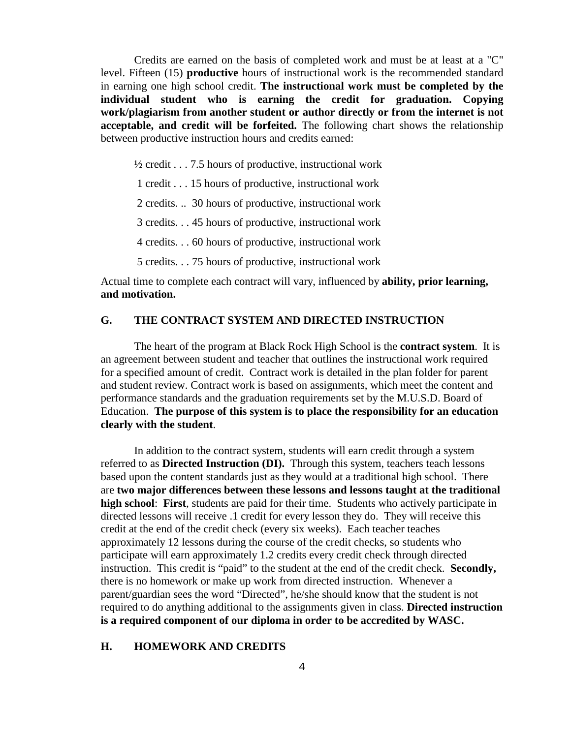Credits are earned on the basis of completed work and must be at least at a "C" level. Fifteen (15) **productive** hours of instructional work is the recommended standard in earning one high school credit. **The instructional work must be completed by the individual student who is earning the credit for graduation. Copying work/plagiarism from another student or author directly or from the internet is not acceptable, and credit will be forfeited.** The following chart shows the relationship between productive instruction hours and credits earned:

 $\frac{1}{2}$  credit . . . 7.5 hours of productive, instructional work

1 credit . . . 15 hours of productive, instructional work

2 credits. .. 30 hours of productive, instructional work

3 credits. . . 45 hours of productive, instructional work

4 credits. . . 60 hours of productive, instructional work

5 credits. . . 75 hours of productive, instructional work

Actual time to complete each contract will vary, influenced by **ability, prior learning, and motivation.**

## **G. THE CONTRACT SYSTEM AND DIRECTED INSTRUCTION**

The heart of the program at Black Rock High School is the **contract system**. It is an agreement between student and teacher that outlines the instructional work required for a specified amount of credit. Contract work is detailed in the plan folder for parent and student review. Contract work is based on assignments, which meet the content and performance standards and the graduation requirements set by the M.U.S.D. Board of Education. **The purpose of this system is to place the responsibility for an education clearly with the student**.

In addition to the contract system, students will earn credit through a system referred to as **Directed Instruction (DI).** Through this system, teachers teach lessons based upon the content standards just as they would at a traditional high school. There are **two major differences between these lessons and lessons taught at the traditional high school**: **First**, students are paid for their time. Students who actively participate in directed lessons will receive .1 credit for every lesson they do. They will receive this credit at the end of the credit check (every six weeks). Each teacher teaches approximately 12 lessons during the course of the credit checks, so students who participate will earn approximately 1.2 credits every credit check through directed instruction. This credit is "paid" to the student at the end of the credit check. **Secondly,** there is no homework or make up work from directed instruction. Whenever a parent/guardian sees the word "Directed", he/she should know that the student is not required to do anything additional to the assignments given in class. **Directed instruction is a required component of our diploma in order to be accredited by WASC.** 

#### **H. HOMEWORK AND CREDITS**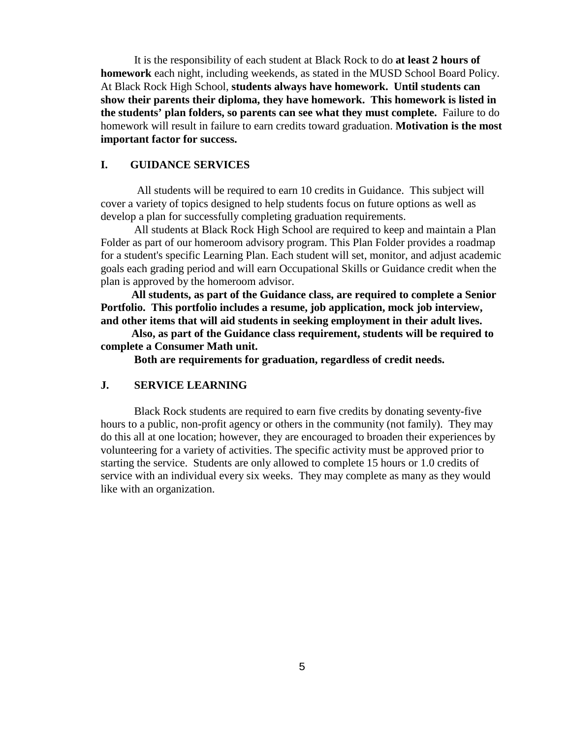It is the responsibility of each student at Black Rock to do **at least 2 hours of homework** each night, including weekends, as stated in the MUSD School Board Policy. At Black Rock High School, **students always have homework. Until students can show their parents their diploma, they have homework. This homework is listed in the students' plan folders, so parents can see what they must complete.** Failure to do homework will result in failure to earn credits toward graduation. **Motivation is the most important factor for success.**

## **I. GUIDANCE SERVICES**

 All students will be required to earn 10 credits in Guidance. This subject will cover a variety of topics designed to help students focus on future options as well as develop a plan for successfully completing graduation requirements.

All students at Black Rock High School are required to keep and maintain a Plan Folder as part of our homeroom advisory program. This Plan Folder provides a roadmap for a student's specific Learning Plan. Each student will set, monitor, and adjust academic goals each grading period and will earn Occupational Skills or Guidance credit when the plan is approved by the homeroom advisor.

 **All students, as part of the Guidance class, are required to complete a Senior Portfolio. This portfolio includes a resume, job application, mock job interview, and other items that will aid students in seeking employment in their adult lives.** 

 **Also, as part of the Guidance class requirement, students will be required to complete a Consumer Math unit.**

**Both are requirements for graduation, regardless of credit needs.**

## **J. SERVICE LEARNING**

Black Rock students are required to earn five credits by donating seventy-five hours to a public, non-profit agency or others in the community (not family). They may do this all at one location; however, they are encouraged to broaden their experiences by volunteering for a variety of activities. The specific activity must be approved prior to starting the service. Students are only allowed to complete 15 hours or 1.0 credits of service with an individual every six weeks. They may complete as many as they would like with an organization.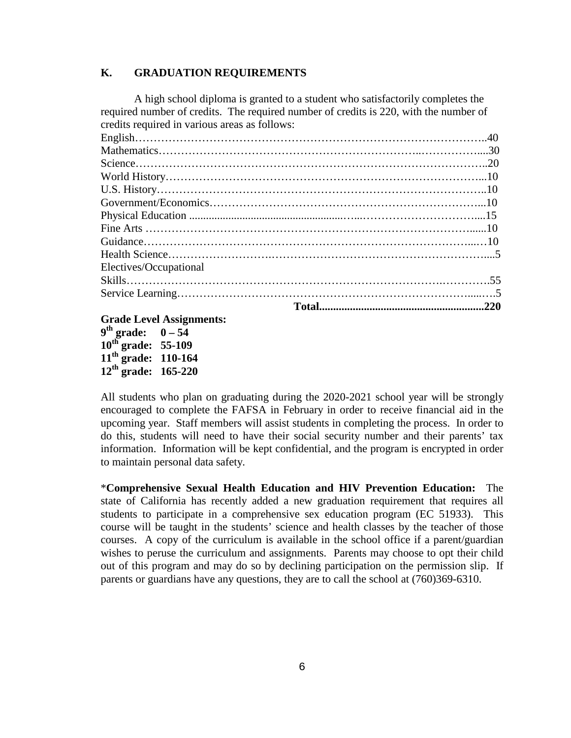## **K. GRADUATION REQUIREMENTS**

A high school diploma is granted to a student who satisfactorily completes the required number of credits. The required number of credits is 220, with the number of credits required in various areas as follows:

| Electives/Occupational |  |
|------------------------|--|
|                        |  |
|                        |  |
|                        |  |

**Grade Level Assignments:**

 $9^{th}$  grade:  $0 - 54$ **10th grade: 55-109 11th grade: 110-164 12th grade: 165-220**

All students who plan on graduating during the 2020-2021 school year will be strongly encouraged to complete the FAFSA in February in order to receive financial aid in the upcoming year. Staff members will assist students in completing the process. In order to do this, students will need to have their social security number and their parents' tax information. Information will be kept confidential, and the program is encrypted in order to maintain personal data safety.

\***Comprehensive Sexual Health Education and HIV Prevention Education:** The state of California has recently added a new graduation requirement that requires all students to participate in a comprehensive sex education program (EC 51933). This course will be taught in the students' science and health classes by the teacher of those courses. A copy of the curriculum is available in the school office if a parent/guardian wishes to peruse the curriculum and assignments. Parents may choose to opt their child out of this program and may do so by declining participation on the permission slip. If parents or guardians have any questions, they are to call the school at (760)369-6310.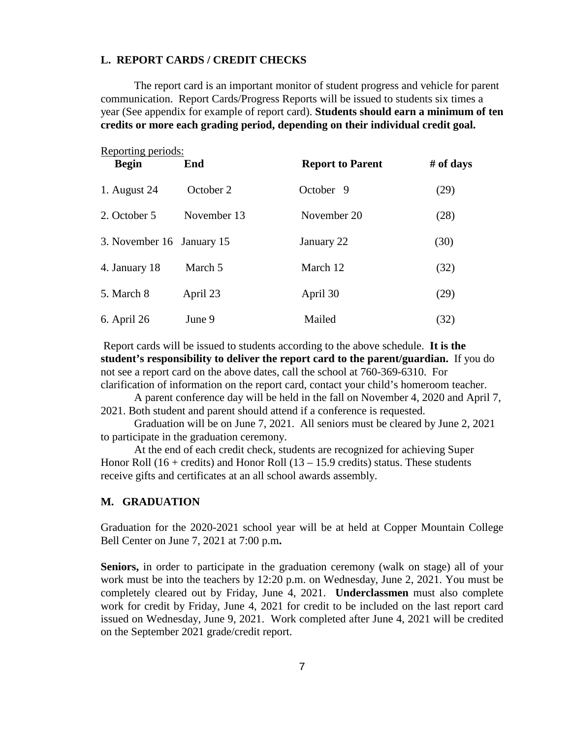#### **L. REPORT CARDS / CREDIT CHECKS**

The report card is an important monitor of student progress and vehicle for parent communication. Report Cards/Progress Reports will be issued to students six times a year (See appendix for example of report card). **Students should earn a minimum of ten credits or more each grading period, depending on their individual credit goal.**

| Reporting periods:<br><b>Begin</b> | End         | <b>Report to Parent</b> | # of days |
|------------------------------------|-------------|-------------------------|-----------|
| 1. August 24                       | October 2   | October 9               | (29)      |
| 2. October 5                       | November 13 | November 20             | (28)      |
| 3. November 16 January 15          |             | January 22              | (30)      |
| 4. January 18                      | March 5     | March 12                | (32)      |
| 5. March 8                         | April 23    | April 30                | (29)      |
| 6. April 26                        | June 9      | Mailed                  | (32)      |

Report cards will be issued to students according to the above schedule. **It is the student's responsibility to deliver the report card to the parent/guardian.** If you do not see a report card on the above dates, call the school at 760-369-6310. For clarification of information on the report card, contact your child's homeroom teacher.

 A parent conference day will be held in the fall on November 4, 2020 and April 7, 2021. Both student and parent should attend if a conference is requested.

Graduation will be on June 7, 2021. All seniors must be cleared by June 2, 2021 to participate in the graduation ceremony.

 At the end of each credit check, students are recognized for achieving Super Honor Roll  $(16 + \text{credits})$  and Honor Roll  $(13 - 15.9 \text{ credits})$  status. These students receive gifts and certificates at an all school awards assembly.

#### **M. GRADUATION**

Graduation for the 2020-2021 school year will be at held at Copper Mountain College Bell Center on June 7, 2021 at 7:00 p.m**.**

**Seniors,** in order to participate in the graduation ceremony (walk on stage) all of your work must be into the teachers by 12:20 p.m. on Wednesday, June 2, 2021. You must be completely cleared out by Friday, June 4, 2021. **Underclassmen** must also complete work for credit by Friday, June 4, 2021 for credit to be included on the last report card issued on Wednesday, June 9, 2021. Work completed after June 4, 2021 will be credited on the September 2021 grade/credit report.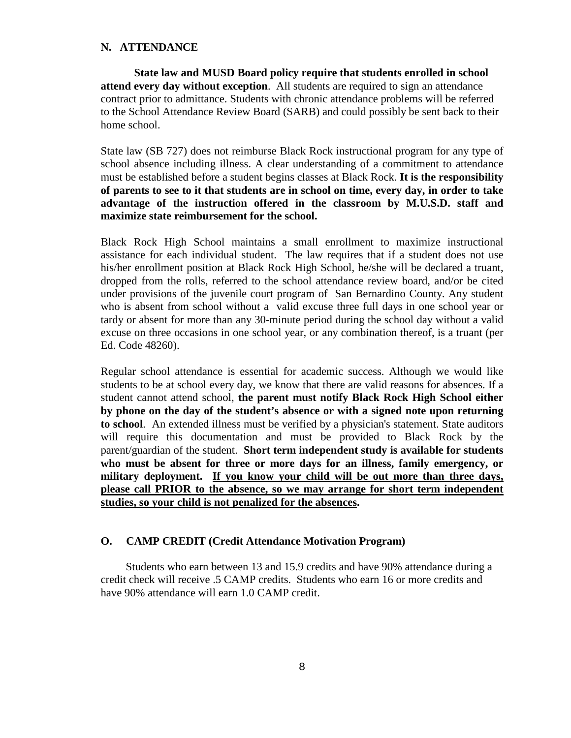## **N. ATTENDANCE**

**State law and MUSD Board policy require that students enrolled in school attend every day without exception**. All students are required to sign an attendance contract prior to admittance. Students with chronic attendance problems will be referred to the School Attendance Review Board (SARB) and could possibly be sent back to their home school.

State law (SB 727) does not reimburse Black Rock instructional program for any type of school absence including illness. A clear understanding of a commitment to attendance must be established before a student begins classes at Black Rock. **It is the responsibility of parents to see to it that students are in school on time, every day, in order to take advantage of the instruction offered in the classroom by M.U.S.D. staff and maximize state reimbursement for the school.**

Black Rock High School maintains a small enrollment to maximize instructional assistance for each individual student. The law requires that if a student does not use his/her enrollment position at Black Rock High School, he/she will be declared a truant, dropped from the rolls, referred to the school attendance review board, and/or be cited under provisions of the juvenile court program of San Bernardino County. Any student who is absent from school without a valid excuse three full days in one school year or tardy or absent for more than any 30-minute period during the school day without a valid excuse on three occasions in one school year, or any combination thereof, is a truant (per Ed. Code 48260).

Regular school attendance is essential for academic success. Although we would like students to be at school every day, we know that there are valid reasons for absences. If a student cannot attend school, **the parent must notify Black Rock High School either by phone on the day of the student's absence or with a signed note upon returning to school**. An extended illness must be verified by a physician's statement. State auditors will require this documentation and must be provided to Black Rock by the parent/guardian of the student. **Short term independent study is available for students who must be absent for three or more days for an illness, family emergency, or military deployment. If you know your child will be out more than three days, please call PRIOR to the absence, so we may arrange for short term independent studies, so your child is not penalized for the absences.**

## **O. CAMP CREDIT (Credit Attendance Motivation Program)**

Students who earn between 13 and 15.9 credits and have 90% attendance during a credit check will receive .5 CAMP credits. Students who earn 16 or more credits and have 90% attendance will earn 1.0 CAMP credit.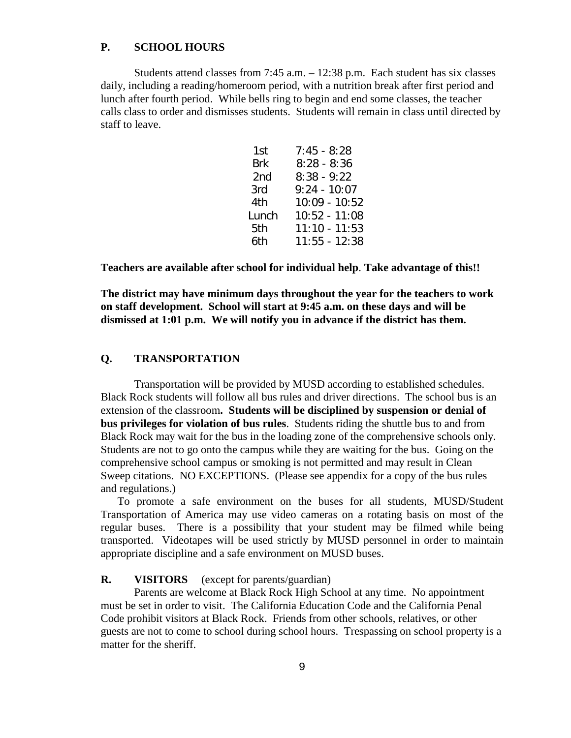## **P. SCHOOL HOURS**

Students attend classes from 7:45 a.m. – 12:38 p.m. Each student has six classes daily, including a reading/homeroom period, with a nutrition break after first period and lunch after fourth period. While bells ring to begin and end some classes, the teacher calls class to order and dismisses students. Students will remain in class until directed by staff to leave.

| $7:45 - 8:28$   |
|-----------------|
| $8:28 - 8:36$   |
| $8:38 - 9:22$   |
| $9:24 - 10:07$  |
| 10:09 - 10:52   |
| 10:52 - 11:08   |
| $11:10 - 11:53$ |
| 11:55 - 12:38   |
|                 |

**Teachers are available after school for individual help**. **Take advantage of this!!**

**The district may have minimum days throughout the year for the teachers to work on staff development. School will start at 9:45 a.m. on these days and will be dismissed at 1:01 p.m. We will notify you in advance if the district has them.**

## **Q. TRANSPORTATION**

Transportation will be provided by MUSD according to established schedules. Black Rock students will follow all bus rules and driver directions. The school bus is an extension of the classroom**. Students will be disciplined by suspension or denial of bus privileges for violation of bus rules**. Students riding the shuttle bus to and from Black Rock may wait for the bus in the loading zone of the comprehensive schools only. Students are not to go onto the campus while they are waiting for the bus. Going on the comprehensive school campus or smoking is not permitted and may result in Clean Sweep citations. NO EXCEPTIONS. (Please see appendix for a copy of the bus rules and regulations.)

To promote a safe environment on the buses for all students, MUSD/Student Transportation of America may use video cameras on a rotating basis on most of the regular buses. There is a possibility that your student may be filmed while being transported. Videotapes will be used strictly by MUSD personnel in order to maintain appropriate discipline and a safe environment on MUSD buses.

## **R. VISITORS** (except for parents/guardian)

Parents are welcome at Black Rock High School at any time. No appointment must be set in order to visit. The California Education Code and the California Penal Code prohibit visitors at Black Rock. Friends from other schools, relatives, or other guests are not to come to school during school hours. Trespassing on school property is a matter for the sheriff.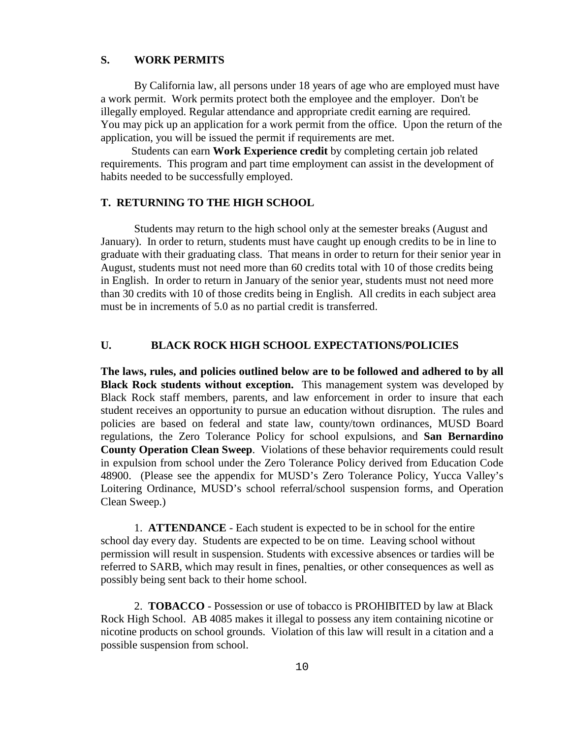#### **S. WORK PERMITS**

By California law, all persons under 18 years of age who are employed must have a work permit. Work permits protect both the employee and the employer. Don't be illegally employed. Regular attendance and appropriate credit earning are required. You may pick up an application for a work permit from the office. Upon the return of the application, you will be issued the permit if requirements are met.

 Students can earn **Work Experience credit** by completing certain job related requirements. This program and part time employment can assist in the development of habits needed to be successfully employed.

#### **T. RETURNING TO THE HIGH SCHOOL**

Students may return to the high school only at the semester breaks (August and January). In order to return, students must have caught up enough credits to be in line to graduate with their graduating class. That means in order to return for their senior year in August, students must not need more than 60 credits total with 10 of those credits being in English. In order to return in January of the senior year, students must not need more than 30 credits with 10 of those credits being in English. All credits in each subject area must be in increments of 5.0 as no partial credit is transferred.

## **U. BLACK ROCK HIGH SCHOOL EXPECTATIONS/POLICIES**

**The laws, rules, and policies outlined below are to be followed and adhered to by all Black Rock students without exception.** This management system was developed by Black Rock staff members, parents, and law enforcement in order to insure that each student receives an opportunity to pursue an education without disruption. The rules and policies are based on federal and state law, county/town ordinances, MUSD Board regulations, the Zero Tolerance Policy for school expulsions, and **San Bernardino County Operation Clean Sweep**. Violations of these behavior requirements could result in expulsion from school under the Zero Tolerance Policy derived from Education Code 48900. (Please see the appendix for MUSD's Zero Tolerance Policy, Yucca Valley's Loitering Ordinance, MUSD's school referral/school suspension forms, and Operation Clean Sweep.)

1. **ATTENDANCE** - Each student is expected to be in school for the entire school day every day. Students are expected to be on time. Leaving school without permission will result in suspension. Students with excessive absences or tardies will be referred to SARB, which may result in fines, penalties, or other consequences as well as possibly being sent back to their home school.

2. **TOBACCO** - Possession or use of tobacco is PROHIBITED by law at Black Rock High School. AB 4085 makes it illegal to possess any item containing nicotine or nicotine products on school grounds. Violation of this law will result in a citation and a possible suspension from school.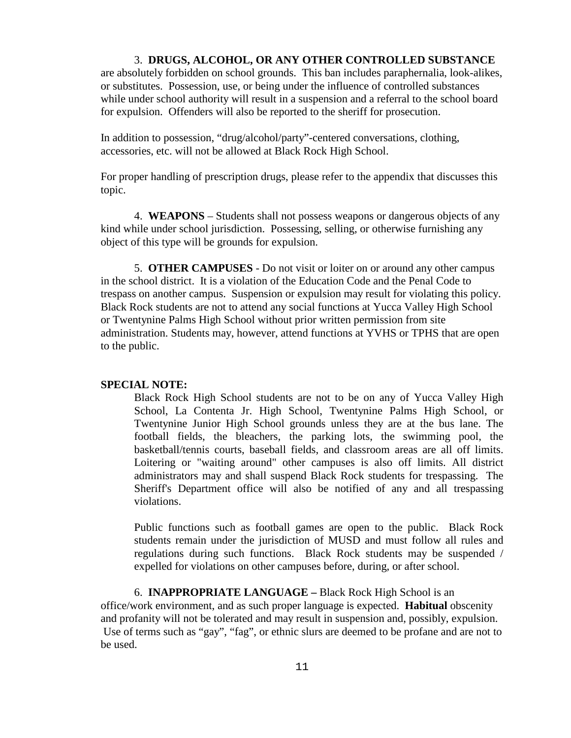#### 3. **DRUGS, ALCOHOL, OR ANY OTHER CONTROLLED SUBSTANCE**

are absolutely forbidden on school grounds. This ban includes paraphernalia, look-alikes, or substitutes. Possession, use, or being under the influence of controlled substances while under school authority will result in a suspension and a referral to the school board for expulsion. Offenders will also be reported to the sheriff for prosecution.

In addition to possession, "drug/alcohol/party"-centered conversations, clothing, accessories, etc. will not be allowed at Black Rock High School.

For proper handling of prescription drugs, please refer to the appendix that discusses this topic.

 4. **WEAPONS** – Students shall not possess weapons or dangerous objects of any kind while under school jurisdiction. Possessing, selling, or otherwise furnishing any object of this type will be grounds for expulsion.

5. **OTHER CAMPUSES** - Do not visit or loiter on or around any other campus in the school district. It is a violation of the Education Code and the Penal Code to trespass on another campus. Suspension or expulsion may result for violating this policy. Black Rock students are not to attend any social functions at Yucca Valley High School or Twentynine Palms High School without prior written permission from site administration. Students may, however, attend functions at YVHS or TPHS that are open to the public.

#### **SPECIAL NOTE:**

Black Rock High School students are not to be on any of Yucca Valley High School, La Contenta Jr. High School, Twentynine Palms High School, or Twentynine Junior High School grounds unless they are at the bus lane. The football fields, the bleachers, the parking lots, the swimming pool, the basketball/tennis courts, baseball fields, and classroom areas are all off limits. Loitering or "waiting around" other campuses is also off limits. All district administrators may and shall suspend Black Rock students for trespassing. The Sheriff's Department office will also be notified of any and all trespassing violations.

Public functions such as football games are open to the public. Black Rock students remain under the jurisdiction of MUSD and must follow all rules and regulations during such functions. Black Rock students may be suspended / expelled for violations on other campuses before, during, or after school.

6. **INAPPROPRIATE LANGUAGE –** Black Rock High School is an office/work environment, and as such proper language is expected. **Habitual** obscenity and profanity will not be tolerated and may result in suspension and, possibly, expulsion. Use of terms such as "gay", "fag", or ethnic slurs are deemed to be profane and are not to be used.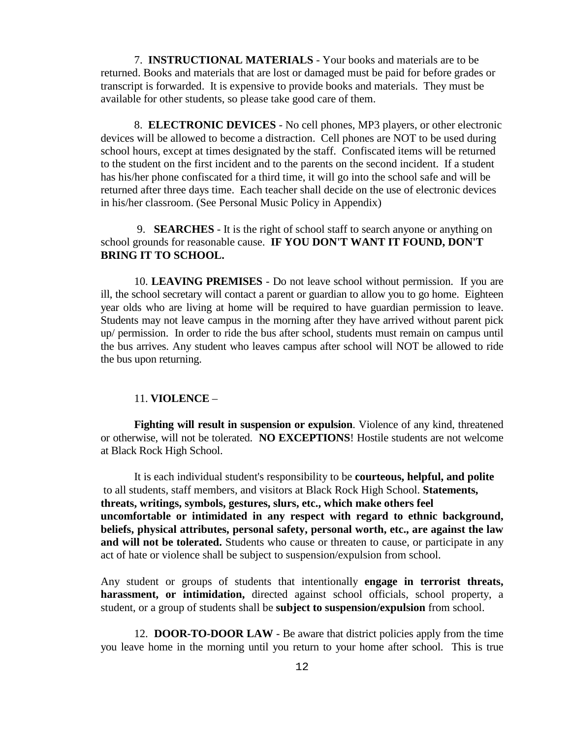7. **INSTRUCTIONAL MATERIALS** - Your books and materials are to be returned. Books and materials that are lost or damaged must be paid for before grades or transcript is forwarded. It is expensive to provide books and materials. They must be available for other students, so please take good care of them.

8. **ELECTRONIC DEVICES** - No cell phones, MP3 players, or other electronic devices will be allowed to become a distraction. Cell phones are NOT to be used during school hours, except at times designated by the staff. Confiscated items will be returned to the student on the first incident and to the parents on the second incident. If a student has his/her phone confiscated for a third time, it will go into the school safe and will be returned after three days time. Each teacher shall decide on the use of electronic devices in his/her classroom. (See Personal Music Policy in Appendix)

## 9. **SEARCHES** - It is the right of school staff to search anyone or anything on school grounds for reasonable cause. **IF YOU DON'T WANT IT FOUND, DON'T BRING IT TO SCHOOL.**

10. **LEAVING PREMISES** - Do not leave school without permission. If you are ill, the school secretary will contact a parent or guardian to allow you to go home. Eighteen year olds who are living at home will be required to have guardian permission to leave. Students may not leave campus in the morning after they have arrived without parent pick up/ permission. In order to ride the bus after school, students must remain on campus until the bus arrives. Any student who leaves campus after school will NOT be allowed to ride the bus upon returning.

#### 11. **VIOLENCE** –

**Fighting will result in suspension or expulsion**. Violence of any kind, threatened or otherwise, will not be tolerated. **NO EXCEPTIONS**! Hostile students are not welcome at Black Rock High School.

It is each individual student's responsibility to be **courteous, helpful, and polite** to all students, staff members, and visitors at Black Rock High School. **Statements, threats, writings, symbols, gestures, slurs, etc., which make others feel uncomfortable or intimidated in any respect with regard to ethnic background, beliefs, physical attributes, personal safety, personal worth, etc., are against the law and will not be tolerated.** Students who cause or threaten to cause, or participate in any act of hate or violence shall be subject to suspension/expulsion from school.

Any student or groups of students that intentionally **engage in terrorist threats, harassment, or intimidation,** directed against school officials, school property, a student, or a group of students shall be **subject to suspension/expulsion** from school.

12. **DOOR-TO-DOOR LAW** - Be aware that district policies apply from the time you leave home in the morning until you return to your home after school. This is true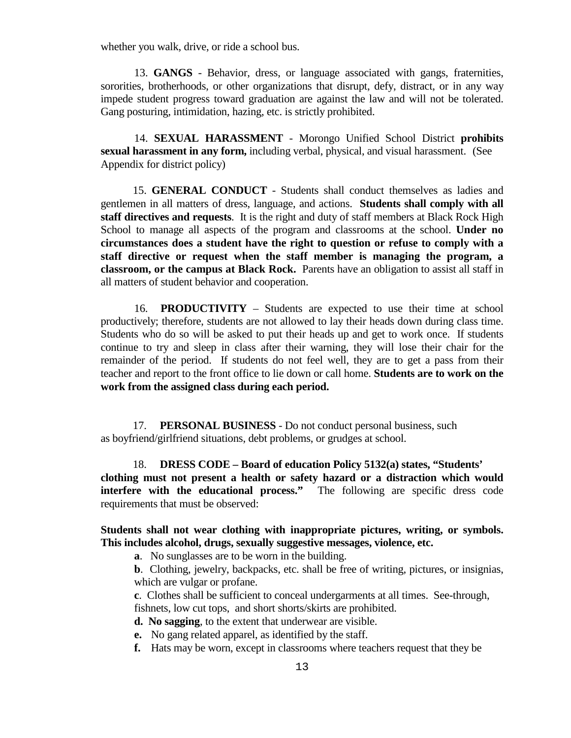whether you walk, drive, or ride a school bus.

13. **GANGS** - Behavior, dress, or language associated with gangs, fraternities, sororities, brotherhoods, or other organizations that disrupt, defy, distract, or in any way impede student progress toward graduation are against the law and will not be tolerated. Gang posturing, intimidation, hazing, etc. is strictly prohibited.

14. **SEXUAL HARASSMENT** - Morongo Unified School District **prohibits sexual harassment in any form,** including verbal, physical, and visual harassment. (See Appendix for district policy)

 15. **GENERAL CONDUCT** - Students shall conduct themselves as ladies and gentlemen in all matters of dress, language, and actions. **Students shall comply with all staff directives and requests**. It is the right and duty of staff members at Black Rock High School to manage all aspects of the program and classrooms at the school. **Under no circumstances does a student have the right to question or refuse to comply with a staff directive or request when the staff member is managing the program, a classroom, or the campus at Black Rock.** Parents have an obligation to assist all staff in all matters of student behavior and cooperation.

16. **PRODUCTIVITY** – Students are expected to use their time at school productively; therefore, students are not allowed to lay their heads down during class time. Students who do so will be asked to put their heads up and get to work once. If students continue to try and sleep in class after their warning, they will lose their chair for the remainder of the period. If students do not feel well, they are to get a pass from their teacher and report to the front office to lie down or call home. **Students are to work on the work from the assigned class during each period.** 

 17. **PERSONAL BUSINESS** - Do not conduct personal business, such as boyfriend/girlfriend situations, debt problems, or grudges at school.

 18. **DRESS CODE – Board of education Policy 5132(a) states, "Students' clothing must not present a health or safety hazard or a distraction which would interfere with the educational process."** The following are specific dress code requirements that must be observed:

## **Students shall not wear clothing with inappropriate pictures, writing, or symbols. This includes alcohol, drugs, sexually suggestive messages, violence, etc.**

**a**. No sunglasses are to be worn in the building.

**b**. Clothing, jewelry, backpacks, etc. shall be free of writing, pictures, or insignias, which are vulgar or profane.

**c**. Clothes shall be sufficient to conceal undergarments at all times. See-through, fishnets, low cut tops, and short shorts/skirts are prohibited.

**d. No sagging**, to the extent that underwear are visible.

**e.** No gang related apparel, as identified by the staff.

**f.** Hats may be worn, except in classrooms where teachers request that they be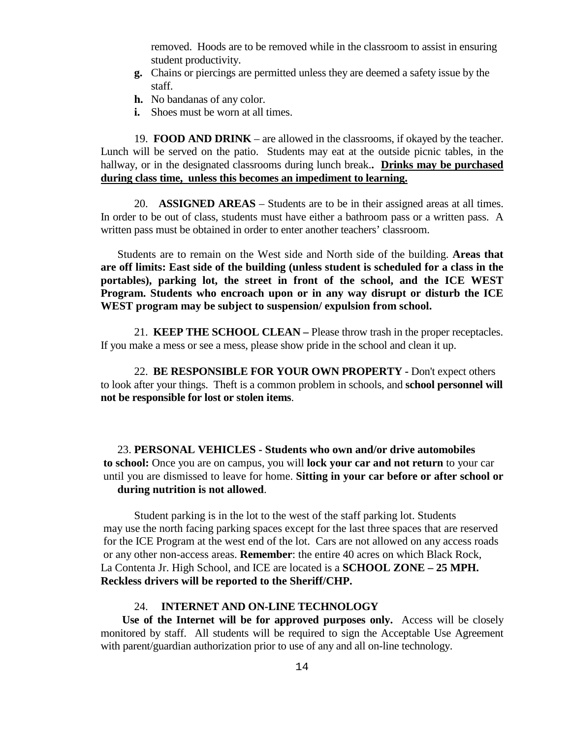removed. Hoods are to be removed while in the classroom to assist in ensuring student productivity.

- **g.** Chains or piercings are permitted unless they are deemed a safety issue by the staff.
- **h.** No bandanas of any color.
- **i.** Shoes must be worn at all times.

19. **FOOD AND DRINK** – are allowed in the classrooms, if okayed by the teacher. Lunch will be served on the patio. Students may eat at the outside picnic tables, in the hallway, or in the designated classrooms during lunch break.**. Drinks may be purchased during class time, unless this becomes an impediment to learning.**

 20. **ASSIGNED AREAS** – Students are to be in their assigned areas at all times. In order to be out of class, students must have either a bathroom pass or a written pass. A written pass must be obtained in order to enter another teachers' classroom.

Students are to remain on the West side and North side of the building. **Areas that are off limits: East side of the building (unless student is scheduled for a class in the portables), parking lot, the street in front of the school, and the ICE WEST Program. Students who encroach upon or in any way disrupt or disturb the ICE WEST program may be subject to suspension/ expulsion from school.**

21. **KEEP THE SCHOOL CLEAN –** Please throw trash in the proper receptacles. If you make a mess or see a mess, please show pride in the school and clean it up.

22. **BE RESPONSIBLE FOR YOUR OWN PROPERTY -** Don't expect others to look after your things. Theft is a common problem in schools, and **school personnel will not be responsible for lost or stolen items**.

23. **PERSONAL VEHICLES - Students who own and/or drive automobiles to school:** Once you are on campus, you will **lock your car and not return** to your car until you are dismissed to leave for home. **Sitting in your car before or after school or during nutrition is not allowed**.

Student parking is in the lot to the west of the staff parking lot. Students may use the north facing parking spaces except for the last three spaces that are reserved for the ICE Program at the west end of the lot. Cars are not allowed on any access roads or any other non-access areas. **Remember**: the entire 40 acres on which Black Rock, La Contenta Jr. High School, and ICE are located is a **SCHOOL ZONE – 25 MPH. Reckless drivers will be reported to the Sheriff/CHP.**

## 24. **INTERNET AND ON-LINE TECHNOLOGY**

 **Use of the Internet will be for approved purposes only.** Access will be closely monitored by staff. All students will be required to sign the Acceptable Use Agreement with parent/guardian authorization prior to use of any and all on-line technology.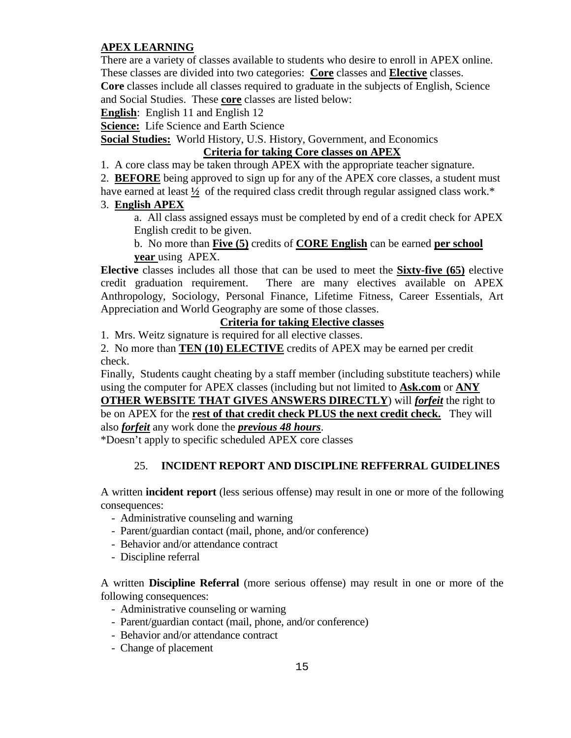## **APEX LEARNING**

There are a variety of classes available to students who desire to enroll in APEX online. These classes are divided into two categories: **Core** classes and **Elective** classes. **Core** classes include all classes required to graduate in the subjects of English, Science

and Social Studies. These **core** classes are listed below:

**English**: English 11 and English 12

**Science:** Life Science and Earth Science

**Social Studies:** World History, U.S. History, Government, and Economics

## **Criteria for taking Core classes on APEX**

1. A core class may be taken through APEX with the appropriate teacher signature.

2. **BEFORE** being approved to sign up for any of the APEX core classes, a student must

have earned at least <sup>1</sup>/<sub>2</sub> of the required class credit through regular assigned class work.<sup>\*</sup>

## 3. **English APEX**

a. All class assigned essays must be completed by end of a credit check for APEX English credit to be given.

b. No more than **Five (5)** credits of **CORE English** can be earned **per school year** using APEX.

**Elective** classes includes all those that can be used to meet the **Sixty-five (65)** elective credit graduation requirement. There are many electives available on APEX Anthropology, Sociology, Personal Finance, Lifetime Fitness, Career Essentials, Art Appreciation and World Geography are some of those classes.

## **Criteria for taking Elective classes**

1. Mrs. Weitz signature is required for all elective classes.

2. No more than **TEN (10) ELECTIVE** credits of APEX may be earned per credit check.

Finally, Students caught cheating by a staff member (including substitute teachers) while using the computer for APEX classes (including but not limited to **Ask.com** or **ANY** 

**OTHER WEBSITE THAT GIVES ANSWERS DIRECTLY**) will *forfeit* the right to be on APEX for the **rest of that credit check PLUS the next credit check.** They will also *forfeit* any work done the *previous 48 hours*.

\*Doesn't apply to specific scheduled APEX core classes

## 25. **INCIDENT REPORT AND DISCIPLINE REFFERRAL GUIDELINES**

A written **incident report** (less serious offense) may result in one or more of the following consequences:

- Administrative counseling and warning
- Parent/guardian contact (mail, phone, and/or conference)
- Behavior and/or attendance contract
- Discipline referral

A written **Discipline Referral** (more serious offense) may result in one or more of the following consequences:

- Administrative counseling or warning
- Parent/guardian contact (mail, phone, and/or conference)
- Behavior and/or attendance contract
- Change of placement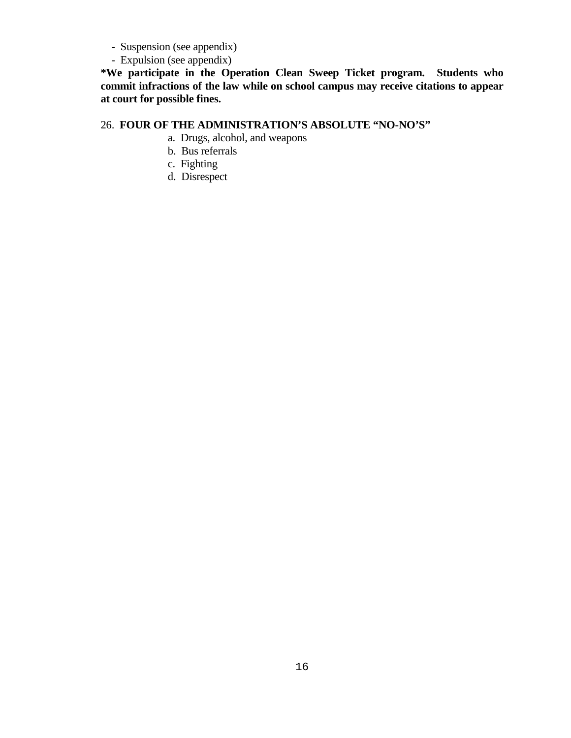- Suspension (see appendix)
- Expulsion (see appendix)

**\*We participate in the Operation Clean Sweep Ticket program. Students who commit infractions of the law while on school campus may receive citations to appear at court for possible fines.**

## 26. **FOUR OF THE ADMINISTRATION'S ABSOLUTE "NO-NO'S"**

- a. Drugs, alcohol, and weapons
- b. Bus referrals
- c. Fighting
- d. Disrespect